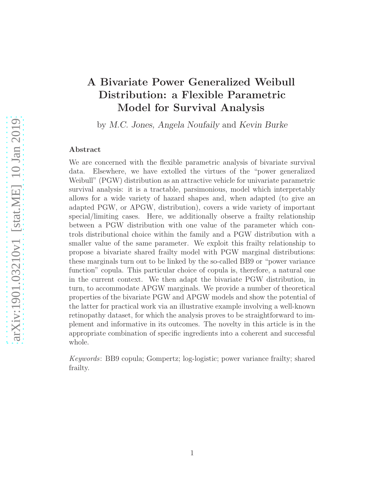# A Bivariate Power Generalized Weibull Distribution: a Flexible Parametric Model for Survival Analysis

by M.C. Jones, Angela Noufaily and Kevin Burke

## Abstract

We are concerned with the flexible parametric analysis of bivariate survival data. Elsewhere, we have extolled the virtues of the "power generalized Weibull" (PGW) distribution as an attractive vehicle for univariate parametric survival analysis: it is a tractable, parsimonious, model which interpretably allows for a wide variety of hazard shapes and, when adapted (to give an adapted PGW, or APGW, distribution), covers a wide variety of important special/limiting cases. Here, we additionally observe a frailty relationship between a PGW distribution with one value of the parameter which controls distributional choice within the family and a PGW distribution with a smaller value of the same parameter. We exploit this frailty relationship to propose a bivariate shared frailty model with PGW marginal distributions: these marginals turn out to be linked by the so-called BB9 or "power variance function" copula. This particular choice of copula is, therefore, a natural one in the current context. We then adapt the bivariate PGW distribution, in turn, to accommodate APGW marginals. We provide a number of theoretical properties of the bivariate PGW and APGW models and show the potential of the latter for practical work via an illustrative example involving a well-known retinopathy dataset, for which the analysis proves to be straightforward to implement and informative in its outcomes. The novelty in this article is in the appropriate combination of specific ingredients into a coherent and successful whole.

Keywords: BB9 copula; Gompertz; log-logistic; power variance frailty; shared frailty.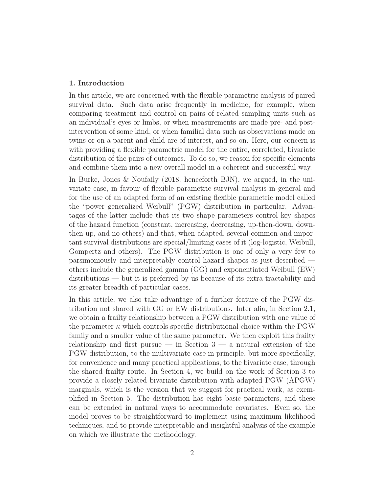# 1. Introduction

In this article, we are concerned with the flexible parametric analysis of paired survival data. Such data arise frequently in medicine, for example, when comparing treatment and control on pairs of related sampling units such as an individual's eyes or limbs, or when measurements are made pre- and postintervention of some kind, or when familial data such as observations made on twins or on a parent and child are of interest, and so on. Here, our concern is with providing a flexible parametric model for the entire, correlated, bivariate distribution of the pairs of outcomes. To do so, we reason for specific elements and combine them into a new overall model in a coherent and successful way.

In Burke, Jones & Noufaily (2018; henceforth BJN), we argued, in the univariate case, in favour of flexible parametric survival analysis in general and for the use of an adapted form of an existing flexible parametric model called the "power generalized Weibull" (PGW) distribution in particular. Advantages of the latter include that its two shape parameters control key shapes of the hazard function (constant, increasing, decreasing, up-then-down, downthen-up, and no others) and that, when adapted, several common and important survival distributions are special/limiting cases of it (log-logistic, Weibull, Gompertz and others). The PGW distribution is one of only a very few to parsimoniously and interpretably control hazard shapes as just described others include the generalized gamma (GG) and exponentiated Weibull (EW) distributions — but it is preferred by us because of its extra tractability and its greater breadth of particular cases.

In this article, we also take advantage of a further feature of the PGW distribution not shared with GG or EW distributions. Inter alia, in Section 2.1, we obtain a frailty relationship between a PGW distribution with one value of the parameter  $\kappa$  which controls specific distributional choice within the PGW family and a smaller value of the same parameter. We then exploit this frailty relationship and first pursue — in Section  $3$  — a natural extension of the PGW distribution, to the multivariate case in principle, but more specifically, for convenience and many practical applications, to the bivariate case, through the shared frailty route. In Section 4, we build on the work of Section 3 to provide a closely related bivariate distribution with adapted PGW (APGW) marginals, which is the version that we suggest for practical work, as exemplified in Section 5. The distribution has eight basic parameters, and these can be extended in natural ways to accommodate covariates. Even so, the model proves to be straightforward to implement using maximum likelihood techniques, and to provide interpretable and insightful analysis of the example on which we illustrate the methodology.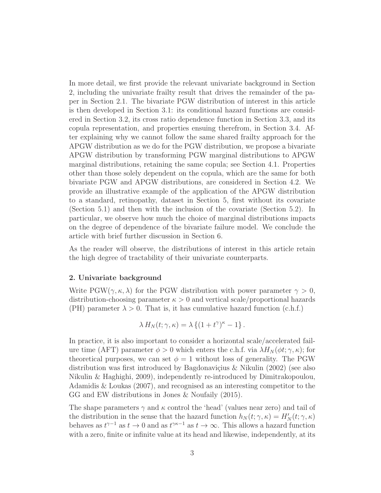In more detail, we first provide the relevant univariate background in Section 2, including the univariate frailty result that drives the remainder of the paper in Section 2.1. The bivariate PGW distribution of interest in this article is then developed in Section 3.1: its conditional hazard functions are considered in Section 3.2, its cross ratio dependence function in Section 3.3, and its copula representation, and properties ensuing therefrom, in Section 3.4. After explaining why we cannot follow the same shared frailty approach for the APGW distribution as we do for the PGW distribution, we propose a bivariate APGW distribution by transforming PGW marginal distributions to APGW marginal distributions, retaining the same copula; see Section 4.1. Properties other than those solely dependent on the copula, which are the same for both bivariate PGW and APGW distributions, are considered in Section 4.2. We provide an illustrative example of the application of the APGW distribution to a standard, retinopathy, dataset in Section 5, first without its covariate (Section 5.1) and then with the inclusion of the covariate (Section 5.2). In particular, we observe how much the choice of marginal distributions impacts on the degree of dependence of the bivariate failure model. We conclude the article with brief further discussion in Section 6.

As the reader will observe, the distributions of interest in this article retain the high degree of tractability of their univariate counterparts.

# 2. Univariate background

Write PGW( $\gamma$ ,  $\kappa$ ,  $\lambda$ ) for the PGW distribution with power parameter  $\gamma > 0$ , distribution-choosing parameter  $\kappa > 0$  and vertical scale/proportional hazards (PH) parameter  $\lambda > 0$ . That is, it has cumulative hazard function (c.h.f.)

$$
\lambda H_N(t; \gamma, \kappa) = \lambda \left\{ (1 + t^{\gamma})^{\kappa} - 1 \right\}.
$$

In practice, it is also important to consider a horizontal scale/accelerated failure time (AFT) parameter  $\phi > 0$  which enters the c.h.f. via  $\lambda H_N(\phi t; \gamma, \kappa)$ ; for theoretical purposes, we can set  $\phi = 1$  without loss of generality. The PGW distribution was first introduced by Bagdonaviçius & Nikulin  $(2002)$  (see also Nikulin & Haghighi, 2009), independently re-introduced by Dimitrakopoulou, Adamidis & Loukas (2007), and recognised as an interesting competitor to the GG and EW distributions in Jones & Noufaily (2015).

The shape parameters  $\gamma$  and  $\kappa$  control the 'head' (values near zero) and tail of the distribution in the sense that the hazard function  $h_N(t; \gamma, \kappa) = H'_N(t; \gamma, \kappa)$ behaves as  $t^{\gamma-1}$  as  $t \to 0$  and as  $t^{\gamma \kappa-1}$  as  $t \to \infty$ . This allows a hazard function with a zero, finite or infinite value at its head and likewise, independently, at its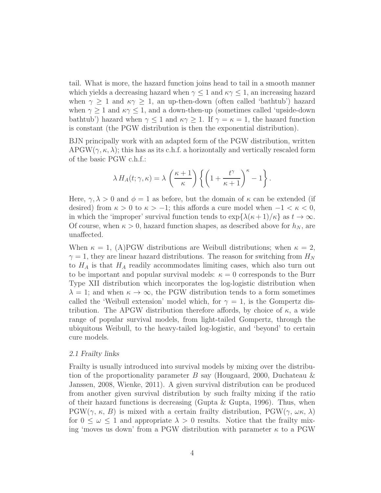tail. What is more, the hazard function joins head to tail in a smooth manner which yields a decreasing hazard when  $\gamma \leq 1$  and  $\kappa \gamma \leq 1$ , an increasing hazard when  $\gamma \geq 1$  and  $\kappa \gamma \geq 1$ , an up-then-down (often called 'bathtub') hazard when  $\gamma \geq 1$  and  $\kappa \gamma \leq 1$ , and a down-then-up (sometimes called 'upside-down bathtub') hazard when  $\gamma \leq 1$  and  $\kappa \gamma \geq 1$ . If  $\gamma = \kappa = 1$ , the hazard function is constant (the PGW distribution is then the exponential distribution).

BJN principally work with an adapted form of the PGW distribution, written APGW( $\gamma$ ,  $\kappa$ ,  $\lambda$ ); this has as its c.h.f. a horizontally and vertically rescaled form of the basic PGW c.h.f.:

$$
\lambda H_A(t; \gamma, \kappa) = \lambda \left(\frac{\kappa + 1}{\kappa}\right) \left\{ \left(1 + \frac{t^{\gamma}}{\kappa + 1}\right)^{\kappa} - 1 \right\}.
$$

Here,  $\gamma, \lambda > 0$  and  $\phi = 1$  as before, but the domain of  $\kappa$  can be extended (if desired) from  $\kappa > 0$  to  $\kappa > -1$ ; this affords a cure model when  $-1 < \kappa < 0$ , in which the 'improper' survival function tends to  $\exp{\lambda(\kappa+1)/\kappa}$  as  $t \to \infty$ . Of course, when  $\kappa > 0$ , hazard function shapes, as described above for  $h_N$ , are unaffected.

When  $\kappa = 1$ , (A)PGW distributions are Weibull distributions; when  $\kappa = 2$ ,  $\gamma = 1$ , they are linear hazard distributions. The reason for switching from  $H_N$ to  $H_A$  is that  $H_A$  readily accommodates limiting cases, which also turn out to be important and popular survival models:  $\kappa = 0$  corresponds to the Burr Type XII distribution which incorporates the log-logistic distribution when  $\lambda = 1$ ; and when  $\kappa \to \infty$ , the PGW distribution tends to a form sometimes called the 'Weibull extension' model which, for  $\gamma = 1$ , is the Gompertz distribution. The APGW distribution therefore affords, by choice of  $\kappa$ , a wide range of popular survival models, from light-tailed Gompertz, through the ubiquitous Weibull, to the heavy-tailed log-logistic, and 'beyond' to certain cure models.

#### 2.1 Frailty links

Frailty is usually introduced into survival models by mixing over the distribution of the proportionality parameter B say (Hougaard, 2000, Duchateau & Janssen, 2008, Wienke, 2011). A given survival distribution can be produced from another given survival distribution by such frailty mixing if the ratio of their hazard functions is decreasing (Gupta & Gupta, 1996). Thus, when  $PGW(\gamma, \kappa, B)$  is mixed with a certain frailty distribution,  $PGW(\gamma, \omega \kappa, \lambda)$ for  $0 \leq \omega \leq 1$  and appropriate  $\lambda > 0$  results. Notice that the frailty mixing 'moves us down' from a PGW distribution with parameter  $\kappa$  to a PGW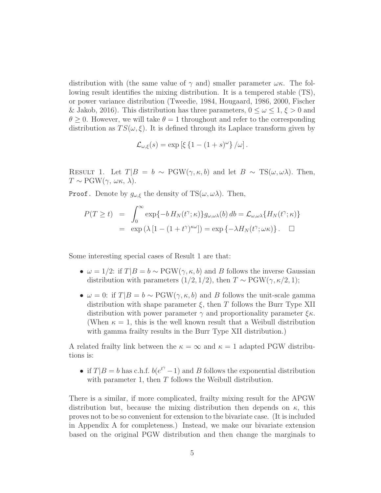distribution with (the same value of  $\gamma$  and) smaller parameter  $\omega \kappa$ . The following result identifies the mixing distribution. It is a tempered stable (TS), or power variance distribution (Tweedie, 1984, Hougaard, 1986, 2000, Fischer & Jakob, 2016). This distribution has three parameters,  $0 \leq \omega \leq 1, \xi > 0$  and  $\theta \geq 0$ . However, we will take  $\theta = 1$  throughout and refer to the corresponding distribution as  $TS(\omega, \xi)$ . It is defined through its Laplace transform given by

$$
\mathcal{L}_{\omega,\xi}(s) = \exp \left[ \xi \left\{ 1 - (1+s)^{\omega} \right\} / \omega \right].
$$

RESULT 1. Let  $T|B = b \sim \text{PGW}(\gamma, \kappa, b)$  and let  $B \sim \text{TS}(\omega, \omega \lambda)$ . Then,  $T \sim \text{PGW}(\gamma, \omega \kappa, \lambda).$ 

**Proof.** Denote by  $g_{\omega,\xi}$  the density of TS( $\omega, \omega\lambda$ ). Then,

$$
P(T \ge t) = \int_0^\infty \exp\{-b H_N(t^\gamma; \kappa)\} g_{\omega, \omega\lambda}(b) db = \mathcal{L}_{\omega, \omega\lambda} \{H_N(t^\gamma; \kappa)\}
$$
  
=  $\exp(\lambda [1 - (1 + t^\gamma)^{\kappa \omega}]) = \exp\{-\lambda H_N(t^\gamma; \omega \kappa)\}.$ 

Some interesting special cases of Result 1 are that:

- $\omega = 1/2$ : if  $T|B = b \sim \text{PGW}(\gamma, \kappa, b)$  and B follows the inverse Gaussian distribution with parameters  $(1/2, 1/2)$ , then  $T \sim \text{PGW}(\gamma, \kappa/2, 1)$ ;
- $\omega = 0$ : if  $T|B = b \sim \text{PGW}(\gamma, \kappa, b)$  and B follows the unit-scale gamma distribution with shape parameter  $\xi$ , then T follows the Burr Type XII distribution with power parameter  $\gamma$  and proportionality parameter  $\xi_{\kappa}$ . (When  $\kappa = 1$ , this is the well known result that a Weibull distribution with gamma frailty results in the Burr Type XII distribution.)

A related frailty link between the  $\kappa = \infty$  and  $\kappa = 1$  adapted PGW distributions is:

• if  $T|B = b$  has c.h.f.  $b(e^{t^{\gamma}} - 1)$  and B follows the exponential distribution with parameter 1, then  $T$  follows the Weibull distribution.

There is a similar, if more complicated, frailty mixing result for the APGW distribution but, because the mixing distribution then depends on  $\kappa$ , this proves not to be so convenient for extension to the bivariate case. (It is included in Appendix A for completeness.) Instead, we make our bivariate extension based on the original PGW distribution and then change the marginals to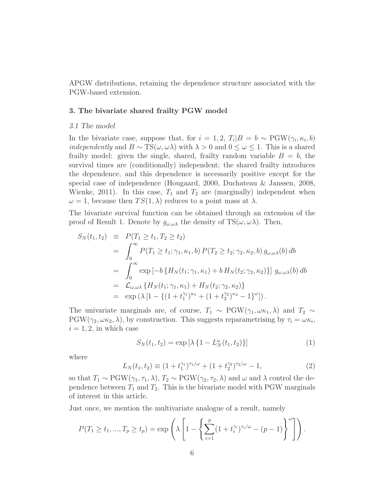APGW distributions, retaining the dependence structure associated with the PGW-based extension.

#### 3. The bivariate shared frailty PGW model

#### 3.1 The model

In the bivariate case, suppose that, for  $i = 1, 2, T_i | B = b \sim \text{PGW}(\gamma_i, \kappa_i, b)$ *independently* and  $B \sim TS(\omega, \omega \lambda)$  with  $\lambda > 0$  and  $0 \leq \omega \leq 1$ . This is a shared frailty model: given the single, shared, frailty random variable  $B = b$ , the survival times are (conditionally) independent; the shared frailty introduces the dependence, and this dependence is necessarily positive except for the special case of independence (Hougaard, 2000, Duchateau & Janssen, 2008, Wienke, 2011). In this case,  $T_1$  and  $T_2$  are (marginally) independent when  $\omega = 1$ , because then  $TS(1, \lambda)$  reduces to a point mass at  $\lambda$ .

The bivariate survival function can be obtained through an extension of the proof of Result 1. Denote by  $g_{\omega,\omega\lambda}$  the density of TS( $\omega,\omega\lambda$ ). Then,

$$
S_N(t_1, t_2) \equiv P(T_1 \ge t_1, T_2 \ge t_2)
$$
  
= 
$$
\int_0^\infty P(T_1 \ge t_1; \gamma_1, \kappa_1, b) P(T_2 \ge t_2; \gamma_2, \kappa_2, b) g_{\omega, \omega \lambda}(b) db
$$
  
= 
$$
\int_0^\infty \exp[-b \{H_N(t_1; \gamma_1, \kappa_1) + b H_N(t_2; \gamma_2, \kappa_2)\}] g_{\omega, \omega \lambda}(b) db
$$
  
= 
$$
\mathcal{L}_{\omega, \omega \lambda} \{H_N(t_1; \gamma_1, \kappa_1) + H_N(t_2; \gamma_2, \kappa_2)\}
$$
  
= 
$$
\exp(\lambda [1 - \{(1 + t_1^{\gamma_1})^{\kappa_1} + (1 + t_2^{\gamma_2})^{\kappa_2} - 1\}^{\omega}]).
$$

The univariate marginals are, of course,  $T_1 \sim \text{PGW}(\gamma_1, \omega \kappa_1, \lambda)$  and  $T_2 \sim$  $PGW(\gamma_2, \omega \kappa_2, \lambda)$ , by construction. This suggests reparametrising by  $\tau_i = \omega \kappa_i$ ,  $i = 1, 2$ , in which case

<span id="page-5-0"></span>
$$
S_N(t_1, t_2) = \exp\left[\lambda \left\{1 - L_N^{\omega}(t_1, t_2)\right\}\right]
$$
 (1)

where

<span id="page-5-1"></span>
$$
L_N(t_1, t_2) \equiv (1 + t_1^{\gamma_1})^{\tau_1/\omega} + (1 + t_2^{\gamma_2})^{\tau_2/\omega} - 1,\tag{2}
$$

so that  $T_1 \sim \text{PGW}(\gamma_1, \tau_1, \lambda), T_2 \sim \text{PGW}(\gamma_2, \tau_2, \lambda)$  and  $\omega$  and  $\lambda$  control the dependence between  $T_1$  and  $T_2$ . This is the bivariate model with PGW marginals of interest in this article.

Just once, we mention the multivariate analogue of a result, namely

$$
P(T_1 \ge t_1, ..., T_p \ge t_p) = \exp\left(\lambda \left[1 - \left\{\sum_{i=1}^p (1 + t_i^{\gamma_i})^{\tau_i/\omega} - (p-1)\right\}^{\omega}\right]\right).
$$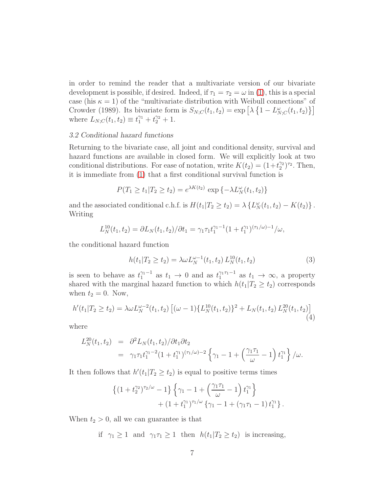in order to remind the reader that a multivariate version of our bivariate development is possible, if desired. Indeed, if  $\tau_1 = \tau_2 = \omega$  in [\(1\)](#page-5-0), this is a special case (his  $\kappa = 1$ ) of the "multivariate distribution with Weibull connections" of Crowder (1989). Its bivariate form is  $S_{N;C}(t_1, t_2) = \exp \left[ \lambda \left\{ 1 - L_{N;C}^{\omega}(t_1, t_2) \right\} \right]$ where  $L_{N;C}(t_1, t_2) \equiv t_1^{\gamma_1} + t_2^{\gamma_2} + 1.$ 

#### 3.2 Conditional hazard functions

Returning to the bivariate case, all joint and conditional density, survival and hazard functions are available in closed form. We will explicitly look at two conditional distributions. For ease of notation, write  $K(t_2) = (1 + t_2^{\gamma_2})$  $_{2}^{\gamma_2})^{\tau_2}$ . Then, it is immediate from [\(1\)](#page-5-0) that a first conditional survival function is

$$
P(T_1 \ge t_1 | T_2 \ge t_2) = e^{\lambda K(t_2)} \exp \{-\lambda L_N^{\omega}(t_1, t_2)\}
$$

and the associated conditional c.h.f. is  $H(t_1|T_2 \ge t_2) = \lambda \{L_N^{\omega}(t_1,t_2) - K(t_2)\}\.$ Writing

$$
L_N^{10}(t_1, t_2) = \frac{\partial L_N(t_1, t_2)}{\partial t_1} = \frac{\gamma_1 \tau_1 t_1^{\gamma_1 - 1} (1 + t_1^{\gamma_1})^{(\tau_1/\omega) - 1}}{\omega},
$$

the conditional hazard function

<span id="page-6-0"></span>
$$
h(t_1|T_2 \ge t_2) = \lambda \omega L_N^{\omega - 1}(t_1, t_2) L_N^{10}(t_1, t_2)
$$
\n(3)

is seen to behave as  $t_1^{\gamma_1-1}$  as  $t_1 \to 0$  and as  $t_1^{\gamma_1\tau_1-1}$  as  $t_1 \to \infty$ , a property shared with the marginal hazard function to which  $h(t_1|T_2 \geq t_2)$  corresponds when  $t_2 = 0$ . Now,

<span id="page-6-1"></span>
$$
h'(t_1|T_2 \ge t_2) = \lambda \omega L_N^{\omega - 2}(t_1, t_2) \left[ (\omega - 1) \{ L_N^{10}(t_1, t_2) \}^2 + L_N(t_1, t_2) L_N^{20}(t_1, t_2) \right]
$$
\n(4)

where

$$
L_N^{20}(t_1, t_2) = \partial^2 L_N(t_1, t_2) / \partial t_1 \partial t_2
$$
  
=  $\gamma_1 \tau_1 t_1^{\gamma_1 - 2} (1 + t_1^{\gamma_1})^{(\tau_1/\omega) - 2} \left\{ \gamma_1 - 1 + \left( \frac{\gamma_1 \tau_1}{\omega} - 1 \right) t_1^{\gamma_1} \right\} / \omega.$ 

It then follows that  $h'(t_1|T_2 \geq t_2)$  is equal to positive terms times

$$
\begin{aligned} \left\{ (1+t_2^{\gamma_2})^{\tau_2/\omega} - 1 \right\} \left\{ \gamma_1 - 1 + \left( \frac{\gamma_1 \tau_1}{\omega} - 1 \right) t_1^{\gamma_1} \right\} \\ + \left( 1 + t_1^{\gamma_1} \right)^{\tau_1/\omega} \left\{ \gamma_1 - 1 + (\gamma_1 \tau_1 - 1) t_1^{\gamma_1} \right\}. \end{aligned}
$$

When  $t_2 > 0$ , all we can guarantee is that

if  $\gamma_1 \geq 1$  and  $\gamma_1 \tau_1 \geq 1$  then  $h(t_1 | T_2 \geq t_2)$  is increasing,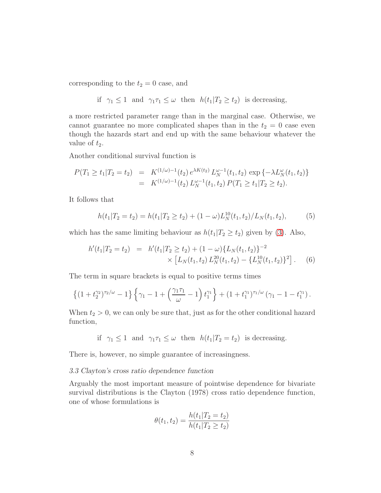corresponding to the  $t_2 = 0$  case, and

if 
$$
\gamma_1 \leq 1
$$
 and  $\gamma_1 \tau_1 \leq \omega$  then  $h(t_1 | T_2 \geq t_2)$  is decreasing,

a more restricted parameter range than in the marginal case. Otherwise, we cannot guarantee no more complicated shapes than in the  $t_2 = 0$  case even though the hazards start and end up with the same behaviour whatever the value of  $t_2$ .

Another conditional survival function is

$$
P(T_1 \ge t_1 | T_2 = t_2) = K^{(1/\omega)-1}(t_2) e^{\lambda K(t_2)} L_N^{\omega-1}(t_1, t_2) \exp \{-\lambda L_N^{\omega}(t_1, t_2)\}
$$
  
=  $K^{(1/\omega)-1}(t_2) L_N^{\omega-1}(t_1, t_2) P(T_1 \ge t_1 | T_2 \ge t_2).$ 

It follows that

<span id="page-7-0"></span>
$$
h(t_1|T_2 = t_2) = h(t_1|T_2 \ge t_2) + (1 - \omega)L_N^{10}(t_1, t_2)/L_N(t_1, t_2),
$$
 (5)

which has the same limiting behaviour as  $h(t_1|T_2 \geq t_2)$  given by [\(3\)](#page-6-0). Also,

<span id="page-7-1"></span>
$$
h'(t_1|T_2 = t_2) = h'(t_1|T_2 \ge t_2) + (1 - \omega)\{L_N(t_1, t_2)\}^{-2}
$$
  
 
$$
\times [L_N(t_1, t_2) L_N^{20}(t_1, t_2) - \{L_N^{10}(t_1, t_2)\}^2].
$$
 (6)

The term in square brackets is equal to positive terms times

$$
\left\{(1+t_2^{\gamma_2})^{\tau_2/\omega}-1\right\}\left\{\gamma_1-1+\left(\frac{\gamma_1\tau_1}{\omega}-1\right)t_1^{\gamma_1}\right\}+(1+t_1^{\gamma_1})^{\tau_1/\omega}\left(\gamma_1-1-t_1^{\gamma_1}\right).
$$

When  $t_2 > 0$ , we can only be sure that, just as for the other conditional hazard function,

if  $\gamma_1 \leq 1$  and  $\gamma_1 \gamma_1 \leq \omega$  then  $h(t_1|T_2 = t_2)$  is decreasing.

There is, however, no simple guarantee of increasingness.

#### 3.3 Clayton's cross ratio dependence function

Arguably the most important measure of pointwise dependence for bivariate survival distributions is the Clayton (1978) cross ratio dependence function, one of whose formulations is

$$
\theta(t_1, t_2) = \frac{h(t_1 | T_2 = t_2)}{h(t_1 | T_2 \ge t_2)}
$$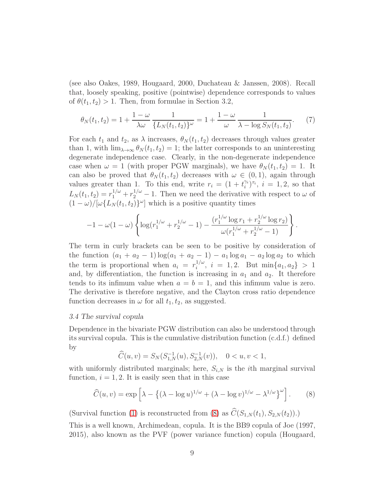(see also Oakes, 1989, Hougaard, 2000, Duchateau & Janssen, 2008). Recall that, loosely speaking, positive (pointwise) dependence corresponds to values of  $\theta(t_1, t_2) > 1$ . Then, from formulae in Section 3.2,

<span id="page-8-1"></span>
$$
\theta_N(t_1, t_2) = 1 + \frac{1 - \omega}{\lambda \omega} \frac{1}{\{L_N(t_1, t_2)\}^{\omega}} = 1 + \frac{1 - \omega}{\omega} \frac{1}{\lambda - \log S_N(t_1, t_2)}.
$$
 (7)

For each  $t_1$  and  $t_2$ , as  $\lambda$  increases,  $\theta_N(t_1, t_2)$  decreases through values greater than 1, with  $\lim_{\lambda\to\infty} \theta_N(t_1, t_2) = 1$ ; the latter corresponds to an uninteresting degenerate independence case. Clearly, in the non-degenerate independence case when  $\omega = 1$  (with proper PGW marginals), we have  $\theta_N(t_1, t_2) = 1$ . It can also be proved that  $\theta_N(t_1, t_2)$  decreases with  $\omega \in (0, 1)$ , again through values greater than 1. To this end, write  $r_i = (1 + t_i^{\gamma_i})$  $(i)$ <sup> $\tau_i$ </sup>,  $i = 1, 2$ , so that  $L_N(t_1, t_2) = r_1^{1/\omega} + r_2^{1/\omega} - 1$ . Then we need the derivative with respect to  $\omega$  of  $(1 - \omega)/[\omega \{L_N(t_1, t_2)\}^{\omega}]$  which is a positive quantity times

$$
-1 - \omega(1 - \omega) \left\{ \log(r_1^{1/\omega} + r_2^{1/\omega} - 1) - \frac{(r_1^{1/\omega} \log r_1 + r_2^{1/\omega} \log r_2)}{\omega(r_1^{1/\omega} + r_2^{1/\omega} - 1)} \right\}.
$$

The term in curly brackets can be seen to be positive by consideration of the function  $(a_1 + a_2 - 1) \log(a_1 + a_2 - 1) - a_1 \log a_1 - a_2 \log a_2$  to which the term is proportional when  $a_i = r_i^{1/\omega}$  $i^{1/\omega}$ ,  $i = 1, 2$ . But  $\min\{a_1, a_2\} > 1$ and, by differentiation, the function is increasing in  $a_1$  and  $a_2$ . It therefore tends to its infimum value when  $a = b = 1$ , and this infimum value is zero. The derivative is therefore negative, and the Clayton cross ratio dependence function decreases in  $\omega$  for all  $t_1, t_2$ , as suggested.

## 3.4 The survival copula

Dependence in the bivariate PGW distribution can also be understood through its survival copula. This is the cumulative distribution function (c.d.f.) defined by

$$
\widehat{C}(u,v)=S_N(S^{-1}_{1,N}(u),S^{-1}_{2,N}(v)),\quad 0
$$

with uniformly distributed marginals; here,  $S_{i,N}$  is the *i*th marginal survival function,  $i = 1, 2$ . It is easily seen that in this case

<span id="page-8-0"></span>
$$
\widehat{C}(u,v) = \exp\left[\lambda - \left\{ (\lambda - \log u)^{1/\omega} + (\lambda - \log v)^{1/\omega} - \lambda^{1/\omega} \right\}^{\omega} \right].
$$
 (8)

(Survival function [\(1\)](#page-5-0) is reconstructed from [\(8\)](#page-8-0) as  $\hat{C}(S_{1,N}(t_1), S_{2,N}(t_2)).$ 

This is a well known, Archimedean, copula. It is the BB9 copula of Joe (1997, 2015), also known as the PVF (power variance function) copula (Hougaard,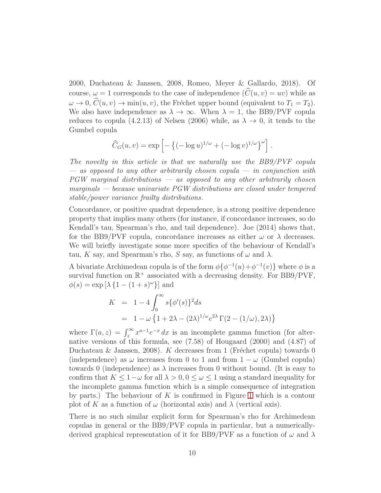2000, Duchateau & Janssen, 2008, Romeo, Meyer & Gallardo, 2018). Of course,  $\omega = 1$  corresponds to the case of independence  $(\hat{C}(u, v) = uv)$  while as  $\omega \to 0$ ,  $\widehat{C}(u, v) \to \min(u, v)$ , the Fréchet upper bound (equivalent to  $T_1 = T_2$ ). We also have independence as  $\lambda \to \infty$ . When  $\lambda = 1$ , the BB9/PVF copula reduces to copula (4.2.13) of Nelsen (2006) while, as  $\lambda \to 0$ , it tends to the Gumbel copula

$$
\widehat{C}_G(u,v) = \exp \left[ -\left\{ (-\log u)^{1/\omega} + (-\log v)^{1/\omega} \right\}^{\omega} \right].
$$

The novelty in this article is that we naturally use the BB9/PVF copula  $-$  as opposed to any other arbitrarily chosen copula  $-$  in conjunction with PGW marginal distributions — as opposed to any other arbitrarily chosen marginals — because univariate PGW distributions are closed under tempered stable/power variance frailty distributions.

Concordance, or positive quadrat dependence, is a strong positive dependence property that implies many others (for instance, if concordance increases, so do Kendall's tau, Spearman's rho, and tail dependence). Joe (2014) shows that, for the BB9/PVF copula, concordance increases as either  $\omega$  or  $\lambda$  decreases. We will briefly investigate some more specifics of the behaviour of Kendall's tau, K say, and Spearman's rho, S say, as functions of  $\omega$  and  $\lambda$ .

A bivariate Archimedean copula is of the form  $\phi\{\phi^{-1}(u) + \phi^{-1}(v)\}\$  where  $\phi$  is a survival function on  $\mathbb{R}^+$  associated with a decreasing density. For BB9/PVF,  $\phi(s) = \exp \left[ \lambda \left\{ 1 - (1+s)^{\omega} \right\} \right]$  and

$$
K = 1 - 4 \int_0^\infty s \{\phi'(s)\}^2 ds
$$
  
=  $1 - \omega \{1 + 2\lambda - (2\lambda)^{1/\omega} e^{2\lambda} \Gamma(2 - (1/\omega), 2\lambda)\}$ 

where  $\Gamma(a, z) = \int_z^{\infty} x^{a-1} e^{-x} dx$  is an incomplete gamma function (for alternative versions of this formula, see (7.58) of Hougaard (2000) and (4.87) of Duchateau & Janssen, 2008). K decreases from 1 (Fréchet copula) towards 0 (independence) as  $\omega$  increases from 0 to 1 and from  $1 - \omega$  (Gumbel copula) towards 0 (independence) as  $\lambda$  increases from 0 without bound. (It is easy to confirm that  $K \leq 1-\omega$  for all  $\lambda > 0, 0 \leq \omega \leq 1$  using a standard inequality for the incomplete gamma function which is a simple consequence of integration by parts.) The behaviour of K is confirmed in Figure [1](#page-10-0) which is a contour plot of K as a function of  $\omega$  (horizontal axis) and  $\lambda$  (vertical axis).

There is no such similar explicit form for Spearman's rho for Archimedean copulas in general or the BB9/PVF copula in particular, but a numericallyderived graphical representation of it for BB9/PVF as a function of  $\omega$  and  $\lambda$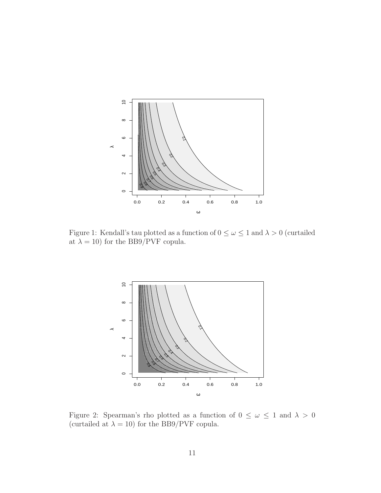

<span id="page-10-0"></span>Figure 1: Kendall's tau plotted as a function of  $0 \le \omega \le 1$  and  $\lambda > 0$  (curtailed at  $\lambda=10)$  for the BB9/PVF copula.



<span id="page-10-1"></span>Figure 2: Spearman's rho plotted as a function of  $0 \leq \omega \leq 1$  and  $\lambda > 0$ (curtailed at  $\lambda = 10$ ) for the BB9/PVF copula.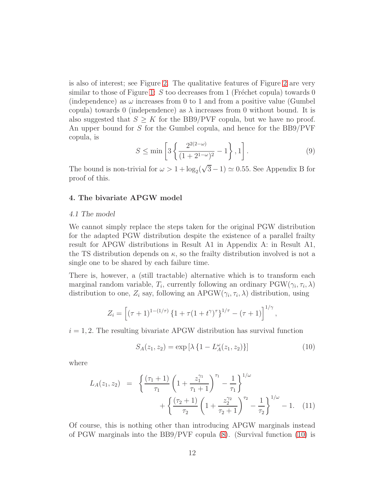is also of interest; see Figure [2.](#page-10-1) The qualitative features of Figure [2](#page-10-1) are very similar to those of Figure [1:](#page-10-0) S too decreases from 1 (Fréchet copula) towards 0 (independence) as  $\omega$  increases from 0 to 1 and from a positive value (Gumbel copula) towards 0 (independence) as  $\lambda$  increases from 0 without bound. It is also suggested that  $S \geq K$  for the BB9/PVF copula, but we have no proof. An upper bound for S for the Gumbel copula, and hence for the BB9/PVF copula, is

<span id="page-11-2"></span>
$$
S \le \min\left[3\left\{\frac{2^{2(2-\omega)}}{(1+2^{1-\omega})^2} - 1\right\}, 1\right].
$$
 (9)

The bound is non-trivial for  $\omega > 1 + \log_2(\sqrt{3} - 1) \simeq 0.55$ . See Appendix B for proof of this.

#### 4. The bivariate APGW model

#### 4.1 The model

We cannot simply replace the steps taken for the original PGW distribution for the adapted PGW distribution despite the existence of a parallel frailty result for APGW distributions in Result A1 in Appendix A: in Result A1, the TS distribution depends on  $\kappa$ , so the frailty distribution involved is not a single one to be shared by each failure time.

There is, however, a (still tractable) alternative which is to transform each marginal random variable,  $T_i$ , currently following an ordinary  $PGW(\gamma_i, \tau_i, \lambda)$ distribution to one,  $Z_i$  say, following an APGW( $\gamma_i, \tau_i, \lambda$ ) distribution, using

$$
Z_i = \left[ (\tau + 1)^{1 - (1/\tau)} \left\{ 1 + \tau (1 + t^{\gamma})^{\tau} \right\}^{1/\tau} - (\tau + 1) \right]^{1/\gamma},
$$

 $i = 1, 2$ . The resulting bivariate APGW distribution has survival function

<span id="page-11-0"></span>
$$
S_A(z_1, z_2) = \exp\left[\lambda \left\{1 - L_A^{\omega}(z_1, z_2)\right\}\right]
$$
 (10)

where

<span id="page-11-1"></span>
$$
L_A(z_1, z_2) = \left\{ \frac{(\tau_1 + 1)}{\tau_1} \left( 1 + \frac{z_1^{\gamma_1}}{\tau_1 + 1} \right)^{\tau_1} - \frac{1}{\tau_1} \right\}^{1/\omega} + \left\{ \frac{(\tau_2 + 1)}{\tau_2} \left( 1 + \frac{z_2^{\gamma_2}}{\tau_2 + 1} \right)^{\tau_2} - \frac{1}{\tau_2} \right\}^{1/\omega} - 1. \quad (11)
$$

Of course, this is nothing other than introducing APGW marginals instead of PGW marginals into the BB9/PVF copula [\(8\)](#page-8-0). (Survival function [\(10\)](#page-11-0) is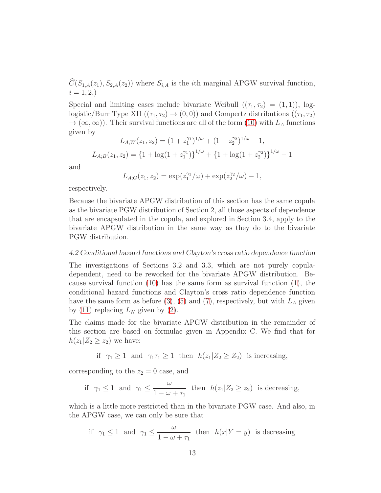$\widehat{C}(S_{1,A}(z_1), S_{2,A}(z_2))$  where  $S_{i,A}$  is the *i*th marginal APGW survival function,  $i = 1, 2.$ 

Special and limiting cases include bivariate Weibull  $((\tau_1, \tau_2) = (1, 1))$ , loglogistic/Burr Type XII  $((\tau_1, \tau_2) \rightarrow (0, 0))$  and Gompertz distributions  $((\tau_1, \tau_2))$  $\rightarrow (\infty, \infty)$ . Their survival functions are all of the form [\(10\)](#page-11-0) with  $L_A$  functions given by

$$
L_{A;W}(z_1, z_2) = (1 + z_1^{\gamma_1})^{1/\omega} + (1 + z_2^{\gamma_2})^{1/\omega} - 1,
$$
  

$$
L_{A;B}(z_1, z_2) = \{1 + \log(1 + z_1^{\gamma_1})\}^{1/\omega} + \{1 + \log(1 + z_2^{\gamma_2})\}^{1/\omega} - 1
$$

and

$$
L_{A;G}(z_1, z_2) = \exp(z_1^{\gamma_1}/\omega) + \exp(z_2^{\gamma_2}/\omega) - 1,
$$

respectively.

Because the bivariate APGW distribution of this section has the same copula as the bivariate PGW distribution of Section 2, all those aspects of dependence that are encapsulated in the copula, and explored in Section 3.4, apply to the bivariate APGW distribution in the same way as they do to the bivariate PGW distribution.

#### 4.2 Conditional hazard functions and Clayton's cross ratio dependence function

The investigations of Sections 3.2 and 3.3, which are not purely copuladependent, need to be reworked for the bivariate APGW distribution. Because survival function [\(10\)](#page-11-0) has the same form as survival function [\(1\)](#page-5-0), the conditional hazard functions and Clayton's cross ratio dependence function have the same form as before [\(3\)](#page-6-0), [\(5\)](#page-7-0) and [\(7\)](#page-8-1), respectively, but with  $L_A$  given by [\(11\)](#page-11-1) replacing  $L_N$  given by [\(2\)](#page-5-1).

The claims made for the bivariate APGW distribution in the remainder of this section are based on formulae given in Appendix C. We find that for  $h(z_1|Z_2 \geq z_2)$  we have:

if  $\gamma_1 \geq 1$  and  $\gamma_1 \tau_1 \geq 1$  then  $h(z_1 | Z_2 \geq Z_2)$  is increasing,

corresponding to the  $z_2 = 0$  case, and

if 
$$
\gamma_1 \le 1
$$
 and  $\gamma_1 \le \frac{\omega}{1 - \omega + \tau_1}$  then  $h(z_1 | Z_2 \ge z_2)$  is decreasing,

which is a little more restricted than in the bivariate PGW case. And also, in the APGW case, we can only be sure that

if 
$$
\gamma_1 \le 1
$$
 and  $\gamma_1 \le \frac{\omega}{1 - \omega + \tau_1}$  then  $h(x|Y = y)$  is decreasing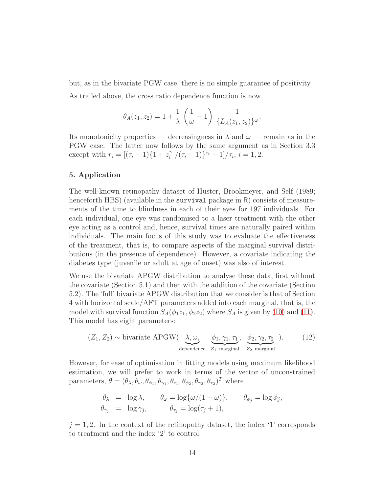but, as in the bivariate PGW case, there is no simple guarantee of positivity.

As trailed above, the cross ratio dependence function is now

$$
\theta_A(z_1, z_2) = 1 + \frac{1}{\lambda} \left( \frac{1}{\omega} - 1 \right) \frac{1}{\{L_A(z_1, z_2)\}^{\omega}}.
$$

Its monotonicity properties — decreasingness in  $\lambda$  and  $\omega$  — remain as in the PGW case. The latter now follows by the same argument as in Section 3.3 except with  $r_i = [(\tau_i + 1)\{1 + z_i^{\gamma_1}\}]$  $\int_{i}^{\gamma_1}/(\tau_i+1)\right\}^{\tau_i}-1]/\tau_i, i=1,2.$ 

## 5. Application

The well-known retinopathy dataset of Huster, Brookmeyer, and Self (1989; henceforth HBS) (available in the **survival** package in R) consists of measurements of the time to blindness in each of their eyes for 197 individuals. For each individual, one eye was randomised to a laser treatment with the other eye acting as a control and, hence, survival times are naturally paired within individuals. The main focus of this study was to evaluate the effectiveness of the treatment, that is, to compare aspects of the marginal survival distributions (in the presence of dependence). However, a covariate indicating the diabetes type (juvenile or adult at age of onset) was also of interest.

We use the bivariate APGW distribution to analyse these data, first without the covariate (Section 5.1) and then with the addition of the covariate (Section 5.2). The 'full' bivariate APGW distribution that we consider is that of Section 4 with horizontal scale/AFT parameters added into each marginal, that is, the model with survival function  $S_A(\phi_1 z_1, \phi_2 z_2)$  where  $S_A$  is given by [\(10\)](#page-11-0) and [\(11\)](#page-11-1). This model has eight parameters:

$$
(Z_1, Z_2) \sim \text{bivariate APGW}(\underbrace{\lambda, \omega}_{\text{dependence}} , \underbrace{\phi_1, \gamma_1, \tau_1}_{Z_1 \text{ marginal}} , \underbrace{\phi_2, \gamma_2, \tau_2}_{Z_2 \text{ marginal}} ).
$$
 (12)

However, for ease of optimisation in fitting models using maximum likelihood estimation, we will prefer to work in terms of the vector of unconstrained parameters,  $\theta = (\theta_{\lambda}, \theta_{\omega}, \theta_{\phi_1}, \theta_{\gamma_1}, \theta_{\tau_1}, \theta_{\phi_2}, \theta_{\gamma_2}, \theta_{\tau_2})^T$  where

<span id="page-13-0"></span>
$$
\theta_{\lambda} = \log \lambda, \quad \theta_{\omega} = \log{\{\omega/(1-\omega)\}}, \quad \theta_{\phi_j} = \log \phi_j,
$$
  
\n $\theta_{\gamma_j} = \log \gamma_j, \quad \theta_{\tau_j} = \log(\tau_j + 1),$ 

 $j = 1, 2$ . In the context of the retinopathy dataset, the index '1' corresponds to treatment and the index '2' to control.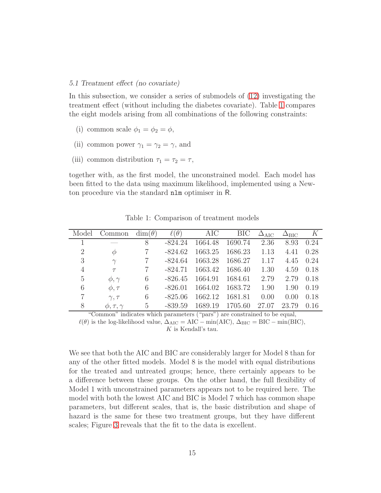#### 5.1 Treatment effect (no covariate)

In this subsection, we consider a series of submodels of [\(12\)](#page-13-0) investigating the treatment effect (without including the diabetes covariate). Table [1](#page-14-0) compares the eight models arising from all combinations of the following constraints:

- (i) common scale  $\phi_1 = \phi_2 = \phi$ ,
- (ii) common power  $\gamma_1 = \gamma_2 = \gamma$ , and
- (iii) common distribution  $\tau_1 = \tau_2 = \tau$ ,

together with, as the first model, the unconstrained model. Each model has been fitted to the data using maximum likelihood, implemented using a Newton procedure via the standard nlm optimiser in R.

| Model          | Common               | $\dim(\theta)$  | $\ell(\theta)$ | AIC     | <b>BIC</b> | $\Delta_{\rm AIC}$ | $\Delta_{\rm BIC}$ | K    |
|----------------|----------------------|-----------------|----------------|---------|------------|--------------------|--------------------|------|
|                |                      | 8               | $-824.24$      | 1664.48 | 1690.74    | 2.36               | 8.93               | 0.24 |
| $\overline{2}$ | $\phi$               |                 | $-824.62$      | 1663.25 | 1686.23    | 1.13               | 4.41               | 0.28 |
| 3              | $\gamma$             |                 | -824.64        | 1663.28 | 1686.27    | 1.17               | 4.45               | 0.24 |
| 4              | $\tau$               | $\overline{7}$  | $-824.71$      | 1663.42 | 1686.40    | 1.30               | 4.59               | 0.18 |
| 5              | $\phi, \gamma$       | 6               | $-826.45$      | 1664.91 | 1684.61    | 2.79               | 2.79               | 0.18 |
| 6              | $\phi, \tau$         | 6               | $-826.01$      | 1664.02 | 1683.72    | 1.90               | 1.90               | 0.19 |
|                | $\gamma, \tau$       | 6               | $-825.06$      | 1662.12 | 1681.81    | 0.00               | 0.00               | 0.18 |
| 8              | $\phi, \tau, \gamma$ | $5\overline{)}$ | $-839.59$      | 1689.19 | 1705.60    | 27.07              | 23.79              | 0.16 |

<span id="page-14-0"></span>Table 1: Comparison of treatment models

"Common" indicates which parameters ("pars") are constrained to be equal,

 $\ell(\theta)$  is the log-likelihood value,  $\Delta_{\rm AIC} = \rm AIC - min( AIC), \Delta_{BIC} = \rm BIC - min( BIC),$ 

 $K$  is Kendall's tau.

We see that both the AIC and BIC are considerably larger for Model 8 than for any of the other fitted models. Model 8 is the model with equal distributions for the treated and untreated groups; hence, there certainly appears to be a difference between these groups. On the other hand, the full flexibility of Model 1 with unconstrained parameters appears not to be required here. The model with both the lowest AIC and BIC is Model 7 which has common shape parameters, but different scales, that is, the basic distribution and shape of hazard is the same for these two treatment groups, but they have different scales; Figure [3](#page-15-0) reveals that the fit to the data is excellent.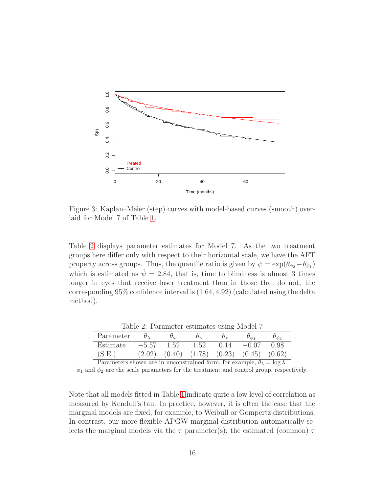

<span id="page-15-0"></span>Figure 3: Kaplan–Meier (step) curves with model-based curves (smooth) overlaid for Model 7 of Table [1.](#page-14-0)

Table [2](#page-15-1) displays parameter estimates for Model 7. As the two treatment groups here differ only with respect to their horizontal scale, we have the AFT property across groups. Thus, the quantile ratio is given by  $\psi = \exp(\theta_{\phi_2} - \theta_{\phi_1})$ which is estimated as  $\hat{\psi} = 2.84$ , that is, time to blindness is almost 3 times longer in eyes that receive laser treatment than in those that do not; the corresponding 95% confidence interval is (1.64, 4.92) (calculated using the delta method).

|           |         |           | .    |      |                                              |      |
|-----------|---------|-----------|------|------|----------------------------------------------|------|
| Parameter |         | $U_{(1)}$ | Ω∼   |      |                                              |      |
| Estimate  | $-5.57$ | 1.52      | 1.52 | 0.14 | $-0.07$                                      | 0.98 |
| (S.E.     | (2.02)  |           |      |      | $(0.40)$ $(1.78)$ $(0.23)$ $(0.45)$ $(0.62)$ |      |

<span id="page-15-1"></span>Table 2: Parameter estimates using Model 7

Parameters shown are in unconstrained form, for example,  $\theta_{\lambda} = \log \lambda$ .  $\phi_1$  and  $\phi_2$  are the scale parameters for the treatment and control group, respectively.

Note that all models fitted in Table [1](#page-14-0) indicate quite a low level of correlation as measured by Kendall's tau. In practice, however, it is often the case that the marginal models are fixed, for example, to Weibull or Gompertz distributions. In contrast, our more flexible APGW marginal distribution automatically selects the marginal models via the  $\tau$  parameter(s); the estimated (common)  $\tau$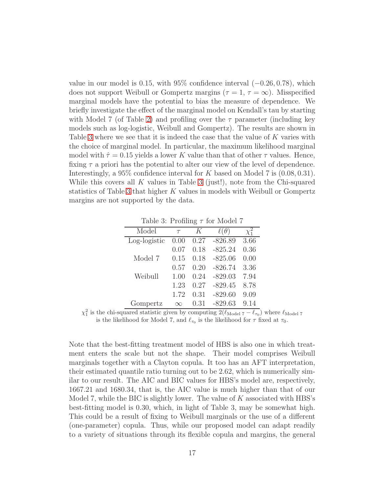value in our model is 0.15, with 95% confidence interval  $(-0.26, 0.78)$ , which does not support Weibull or Gompertz margins ( $\tau = 1, \tau = \infty$ ). Misspecified marginal models have the potential to bias the measure of dependence. We briefly investigate the effect of the marginal model on Kendall's tau by starting with Model 7 (of Table [2\)](#page-15-1) and profiling over the  $\tau$  parameter (including key models such as log-logistic, Weibull and Gompertz). The results are shown in Table [3](#page-16-0) where we see that it is indeed the case that the value of K varies with the choice of marginal model. In particular, the maximum likelihood marginal model with  $\hat{\tau} = 0.15$  yields a lower K value than that of other  $\tau$  values. Hence, fixing  $\tau$  a priori has the potential to alter our view of the level of dependence. Interestingly, a  $95\%$  confidence interval for K based on Model 7 is  $(0.08, 0.31)$ . While this covers all  $K$  values in Table [3](#page-16-0) (just!), note from the Chi-squared statistics of Table [3](#page-16-0) that higher K values in models with Weibull or Gompertz margins are not supported by the data.

<span id="page-16-0"></span>Table 3: Profiling  $\tau$  for Model 7

| Model        | $\tau$   | K    | U         | $\chi_1$ |
|--------------|----------|------|-----------|----------|
| Log-logistic | 0.00     | 0.27 | $-826.89$ | 3.66     |
|              | 0.07     | 0.18 | $-825.24$ | 0.36     |
| Model 7      | 0.15     | 0.18 | $-825.06$ | 0.00     |
|              | 0.57     | 0.20 | $-826.74$ | 3.36     |
| Weibull      | 1.00     | 0.24 | $-829.03$ | 7.94     |
|              | 1.23     | 0.27 | $-829.45$ | 8.78     |
|              | 1.72     | 0.31 | $-829.60$ | 9.09     |
| Gompertz     | $\infty$ | 0.31 | $-829.63$ | 9.14     |

 $\chi_1^2$  is the chi-squared statistic given by computing  $2(\ell_{\text{Model 7}} - \ell_{\tau_0})$  where  $\ell_{\text{Model 7}}$ is the likelihood for Model 7, and  $\ell_{\tau_0}$  is the likelihood for  $\tau$  fixed at  $\tau_0$ .

Note that the best-fitting treatment model of HBS is also one in which treatment enters the scale but not the shape. Their model comprises Weibull marginals together with a Clayton copula. It too has an AFT interpretation, their estimated quantile ratio turning out to be 2.62, which is numerically similar to our result. The AIC and BIC values for HBS's model are, respectively, 1667.21 and 1680.34, that is, the AIC value is much higher than that of our Model 7, while the BIC is slightly lower. The value of  $K$  associated with HBS's best-fitting model is 0.30, which, in light of Table 3, may be somewhat high. This could be a result of fixing to Weibull marginals or the use of a different (one-parameter) copula. Thus, while our proposed model can adapt readily to a variety of situations through its flexible copula and margins, the general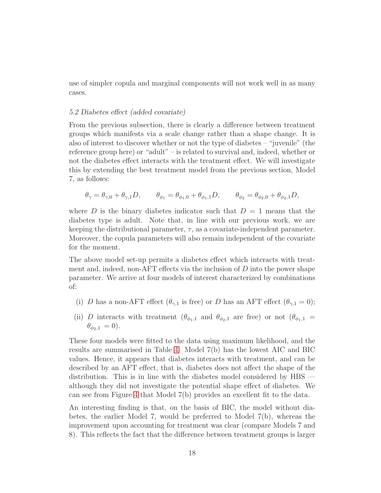use of simpler copula and marginal components will not work well in as many cases.

#### 5.2 Diabetes effect (added covariate)

From the previous subsection, there is clearly a difference between treatment groups which manifests via a scale change rather than a shape change. It is also of interest to discover whether or not the type of diabetes – "juvenile" (the reference group here) or "adult" – is related to survival and, indeed, whether or not the diabetes effect interacts with the treatment effect. We will investigate this by extending the best treatment model from the previous section, Model 7, as follows:

$$
\theta_{\gamma} = \theta_{\gamma,0} + \theta_{\gamma,1}D, \qquad \theta_{\phi_1} = \theta_{\phi_1,0} + \theta_{\phi_1,1}D, \qquad \theta_{\phi_2} = \theta_{\phi_2,0} + \theta_{\phi_2,1}D,
$$

where D is the binary diabetes indicator such that  $D = 1$  means that the diabetes type is adult. Note that, in line with our previous work, we are keeping the distributional parameter,  $\tau$ , as a covariate-independent parameter. Moreover, the copula parameters will also remain independent of the covariate for the moment.

The above model set-up permits a diabetes effect which interacts with treatment and, indeed, non-AFT effects via the inclusion of  $D$  into the power shape parameter. We arrive at four models of interest characterized by combinations of:

- (i) D has a non-AFT effect  $(\theta_{\gamma,1}$  is free) or D has an AFT effect  $(\theta_{\gamma,1}=0)$ ;
- (ii) D interacts with treatment  $(\theta_{\phi_1,1}$  and  $\theta_{\phi_2,1}$  are free) or not  $(\theta_{\phi_1,1})$  $\theta_{\phi_{2},1} = 0$ ).

These four models were fitted to the data using maximum likelihood, and the results are summarised in Table [4.](#page-18-0) Model 7(b) has the lowest AIC and BIC values. Hence, it appears that diabetes interacts with treatment, and can be described by an AFT effect, that is, diabetes does not affect the shape of the distribution. This is in line with the diabetes model considered by HBS although they did not investigate the potential shape effect of diabetes. We can see from Figure [4](#page-18-1) that Model 7(b) provides an excellent fit to the data.

An interesting finding is that, on the basis of BIC, the model without diabetes, the earlier Model 7, would be preferred to Model 7(b), whereas the improvement upon accounting for treatment was clear (compare Models 7 and 8). This reflects the fact that the difference between treatment groups is larger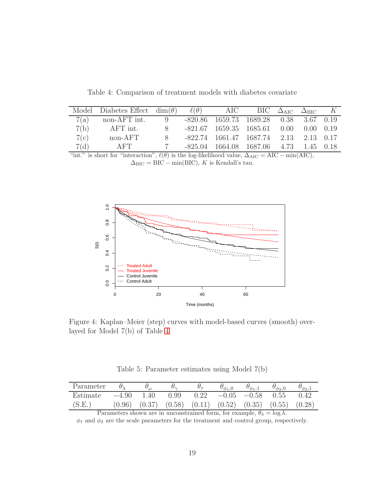|      | Model Diabetes Effect $\dim(\theta)$ $\ell(\theta)$ AIC BIC $\Delta_{AIC}$ $\Delta_{BIC}$ K |  |                                          |  |  |
|------|---------------------------------------------------------------------------------------------|--|------------------------------------------|--|--|
|      | 7(a) non-AFT int. 9 -820.86 1659.73 1689.28 0.38 3.67 0.19                                  |  |                                          |  |  |
| 7(b) | $AFT$ int.                                                                                  |  | 8 -821.67 1659.35 1685.61 0.00 0.00 0.19 |  |  |
| 7(c) | non-AFT                                                                                     |  | 8 -822.74 1661.47 1687.74 2.13 2.13 0.17 |  |  |
| 7(d) | AFT                                                                                         |  | 7 -825.04 1664.08 1687.06 4.73 1.45 0.18 |  |  |

<span id="page-18-0"></span>Table 4: Comparison of treatment models with diabetes covariate

"int." is short for "interaction",  $\ell(\theta)$  is the log-likelihood value,  $\Delta_{AIC} = AIC - \min(AIC)$ ,  $\Delta_{\text{BIC}} = \text{BIC} - \min(\text{BIC}), K$  is Kendall's tau.



<span id="page-18-1"></span>Figure 4: Kaplan–Meier (step) curves with model-based curves (smooth) overlayed for Model 7(b) of Table [4](#page-18-0)

<span id="page-18-2"></span>Table 5: Parameter estimates using Model 7(b)

| Parameter |         | $\sigma_{\omega}$ | $U_{\sim}$ |        | $v_{\phi_1,\mathrm{t}}$ | $U_{\phi_1,\perp}$ | $\sigma_{\phi_2,0}$ | $\sigma_{\phi_2,\ldots}$ |
|-----------|---------|-------------------|------------|--------|-------------------------|--------------------|---------------------|--------------------------|
| Estimate  | $-4.90$ | .40               | 0.99       | 0.22   | $-0.05$                 | $-0.58$            | 0.55                |                          |
| (S.E.     | 0.96    | (0.37)            | (0.58)     | (0.11) | (0.52)                  | (0.35)             | (0.55)              | (0.28)                   |

Parameters shown are in unconstrained form, for example,  $\theta_{\lambda} = \log \lambda$ .

 $\phi_1$  and  $\phi_2$  are the scale parameters for the treatment and control group, respectively.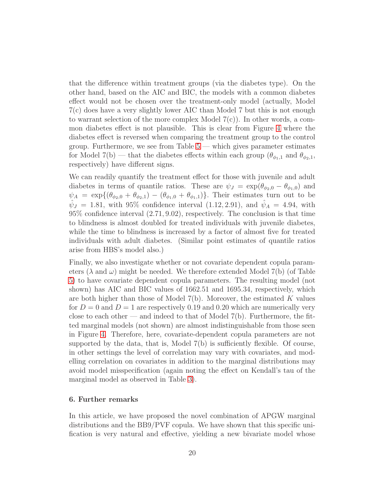that the difference within treatment groups (via the diabetes type). On the other hand, based on the AIC and BIC, the models with a common diabetes effect would not be chosen over the treatment-only model (actually, Model 7(c) does have a very slightly lower AIC than Model 7 but this is not enough to warrant selection of the more complex Model  $7(c)$ ). In other words, a common diabetes effect is not plausible. This is clear from Figure [4](#page-18-1) where the diabetes effect is reversed when comparing the treatment group to the control group. Furthermore, we see from Table  $5$  — which gives parameter estimates for Model 7(b) — that the diabetes effects within each group  $(\theta_{\phi_1,1}$  and  $\theta_{\phi_2,1}$ , respectively) have different signs.

We can readily quantify the treatment effect for those with juvenile and adult diabetes in terms of quantile ratios. These are  $\psi_J = \exp(\theta_{\phi_2,0} - \theta_{\phi_1,0})$  and  $\psi_A = \exp\{(\theta_{\phi_2,0} + \theta_{\phi_2,1}) - (\theta_{\phi_1,0} + \theta_{\phi_1,1})\}.$  Their estimates turn out to be  $\hat{\psi}_J = 1.81$ , with 95% confidence interval (1.12, 2.91), and  $\hat{\psi}_A = 4.94$ , with 95% confidence interval (2.71, 9.02), respectively. The conclusion is that time to blindness is almost doubled for treated individuals with juvenile diabetes, while the time to blindness is increased by a factor of almost five for treated individuals with adult diabetes. (Similar point estimates of quantile ratios arise from HBS's model also.)

Finally, we also investigate whether or not covariate dependent copula parameters ( $\lambda$  and  $\omega$ ) might be needed. We therefore extended Model 7(b) (of Table [5\)](#page-18-2) to have covariate dependent copula parameters. The resulting model (not shown) has AIC and BIC values of 1662.51 and 1695.34, respectively, which are both higher than those of Model  $7(b)$ . Moreover, the estimated K values for  $D = 0$  and  $D = 1$  are respectively 0.19 and 0.20 which are numerically very close to each other — and indeed to that of Model  $7(b)$ . Furthermore, the fitted marginal models (not shown) are almost indistinguishable from those seen in Figure [4.](#page-18-1) Therefore, here, covariate-dependent copula parameters are not supported by the data, that is, Model 7(b) is sufficiently flexible. Of course, in other settings the level of correlation may vary with covariates, and modelling correlation on covariates in addition to the marginal distributions may avoid model misspecification (again noting the effect on Kendall's tau of the marginal model as observed in Table [3\)](#page-16-0).

# 6. Further remarks

In this article, we have proposed the novel combination of APGW marginal distributions and the BB9/PVF copula. We have shown that this specific unification is very natural and effective, yielding a new bivariate model whose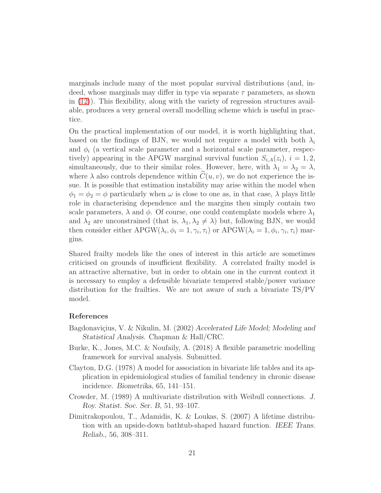marginals include many of the most popular survival distributions (and, indeed, whose marginals may differ in type via separate  $\tau$  parameters, as shown in [\(12\)](#page-13-0)). This flexibility, along with the variety of regression structures available, produces a very general overall modelling scheme which is useful in practice.

On the practical implementation of our model, it is worth highlighting that, based on the findings of BJN, we would not require a model with both  $\lambda_i$ and  $\phi_i$  (a vertical scale parameter and a horizontal scale parameter, respectively) appearing in the APGW marginal survival function  $S_{i,A}(z_i)$ ,  $i=1,2$ , simultaneously, due to their similar roles. However, here, with  $\lambda_1 = \lambda_2 = \lambda$ , where  $\lambda$  also controls dependence within  $C(u, v)$ , we do not experience the issue. It is possible that estimation instability may arise within the model when  $\phi_1 = \phi_2 = \phi$  particularly when  $\omega$  is close to one as, in that case,  $\lambda$  plays little role in characterising dependence and the margins then simply contain two scale parameters,  $\lambda$  and  $\phi$ . Of course, one could contemplate models where  $\lambda_1$ and  $\lambda_2$  are unconstrained (that is,  $\lambda_1, \lambda_2 \neq \lambda$ ) but, following BJN, we would then consider either  $\text{APGW}(\lambda_i, \phi_i = 1, \gamma_i, \tau_i)$  or  $\text{APGW}(\lambda_i = 1, \phi_i, \gamma_i, \tau_i)$  margins.

Shared frailty models like the ones of interest in this article are sometimes criticised on grounds of insufficient flexibility. A correlated frailty model is an attractive alternative, but in order to obtain one in the current context it is necessary to employ a defensible bivariate tempered stable/power variance distribution for the frailties. We are not aware of such a bivariate TS/PV model.

# References

- Bagdonaviçius, V. & Nikulin, M. (2002) Accelerated Life Model; Modeling and Statistical Analysis. Chapman & Hall/CRC.
- Burke, K., Jones, M.C. & Noufaily, A. (2018) A flexible parametric modelling framework for survival analysis. Submitted.
- Clayton, D.G. (1978) A model for association in bivariate life tables and its application in epidemiological studies of familial tendency in chronic disease incidence. Biometrika, 65, 141–151.
- Crowder, M. (1989) A multivariate distribution with Weibull connections. J. Roy. Statist. Soc. Ser. B, 51, 93–107.
- Dimitrakopoulou, T., Adamidis, K. & Loukas, S. (2007) A lifetime distribution with an upside-down bathtub-shaped hazard function. IEEE Trans. Reliab., 56, 308–311.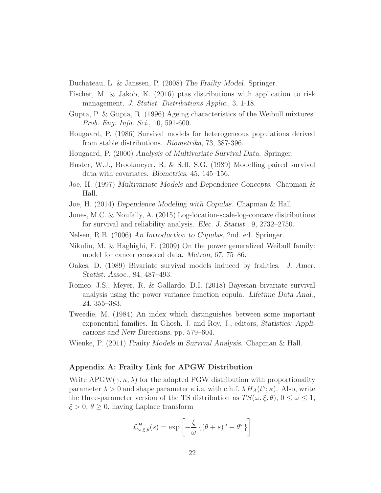Duchateau, L. & Janssen, P. (2008) The Frailty Model. Springer.

- Fischer, M. & Jakob, K. (2016) ptas distributions with application to risk management. J. Statist. Distributions Applic., 3, 1-18.
- Gupta, P. & Gupta, R. (1996) Ageing characteristics of the Weibull mixtures. Prob. Eng. Info. Sci., 10, 591-600.
- Hougaard, P. (1986) Survival models for heterogeneous populations derived from stable distributions. Biometrika, 73, 387-396.
- Hougaard, P. (2000) Analysis of Multivariate Survival Data. Springer.
- Huster, W.J., Brookmeyer, R. & Self, S.G. (1989) Modelling paired survival data with covariates. Biometrics, 45, 145–156.
- Joe, H. (1997) Multivariate Models and Dependence Concepts. Chapman & Hall.
- Joe, H. (2014) Dependence Modeling with Copulas. Chapman & Hall.
- Jones, M.C. & Noufaily, A. (2015) Log-location-scale-log-concave distributions for survival and reliability analysis. Elec. J. Statist., 9, 2732–2750.
- Nelsen, R.B. (2006) An Introduction to Copulas, 2nd. ed. Springer.
- Nikulin, M. & Haghighi, F. (2009) On the power generalized Weibull family: model for cancer censored data. Metron, 67, 75–86.
- Oakes, D. (1989) Bivariate survival models induced by frailties. J. Amer. Statist. Assoc., 84, 487–493.
- Romeo, J.S., Meyer, R. & Gallardo, D.I. (2018) Bayesian bivariate survival analysis using the power variance function copula. Lifetime Data Anal., 24, 355–383.
- Tweedie, M. (1984) An index which distinguishes between some important exponential families. In Ghosh, J. and Roy, J., editors, Statistics: Applications and New Directions, pp. 579–604.
- Wienke, P. (2011) Frailty Models in Survival Analysis. Chapman & Hall.

# Appendix A: Frailty Link for APGW Distribution

Write APGW( $\gamma$ ,  $\kappa$ ,  $\lambda$ ) for the adapted PGW distribution with proportionality parameter  $\lambda > 0$  and shape parameter  $\kappa$  i.e. with c.h.f.  $\lambda H_A(t^{\gamma}; \kappa)$ . Also, write the three-parameter version of the TS distribution as  $TS(\omega, \xi, \theta)$ ,  $0 \leq \omega \leq 1$ ,  $\xi > 0, \theta \geq 0$ , having Laplace transform

$$
\mathcal{L}_{\omega,\xi,\theta}^{H}(s) = \exp\left[-\frac{\xi}{\omega}\left\{(\theta+s)^{\omega} - \theta^{\omega}\right\}\right]
$$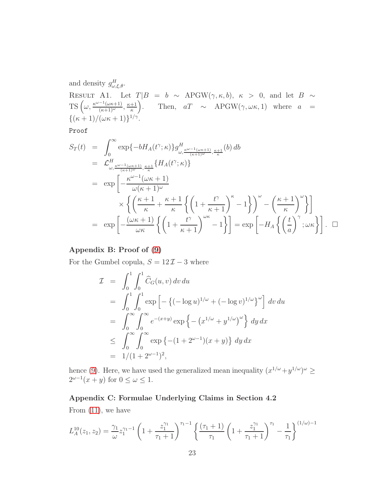and density  $g_{\omega,\xi,\theta}^H$ . RESULT A1. Let  $T|B = b \sim \text{APGW}(\gamma, \kappa, b), \kappa > 0, \text{ and let } B \sim$ TS  $\left(\omega, \frac{\kappa^{\omega-1}(\omega \kappa+1)}{(\kappa+1)^\omega}, \frac{\kappa+1}{\kappa}\right)$ κ ). Then,  $aT \sim \text{APGW}(\gamma, \omega \kappa, 1)$  where  $a =$  ${((\kappa+1)/(\omega\kappa+1))^{1/\gamma}}$ .

Proof

$$
S_T(t) = \int_0^\infty \exp\{-bH_A(t^{\gamma}; \kappa)\} g_{\omega, \frac{\kappa^{\omega-1}(\omega\kappa+1)}{(\kappa+1)^{\omega}}, \frac{\kappa+1}{\kappa}}(b) db
$$
  
\n
$$
= \mathcal{L}_{\omega, \frac{\kappa^{\omega-1}(\omega\kappa+1)}{(\kappa+1)^{\omega}}, \frac{\kappa+1}{\kappa}} \{H_A(t^{\gamma}; \kappa)\}
$$
  
\n
$$
= \exp\left[-\frac{\kappa^{\omega-1}(\omega\kappa+1)}{\omega(\kappa+1)^{\omega}}\right]
$$
  
\n
$$
\times \left\{ \left(\frac{\kappa+1}{\kappa} + \frac{\kappa+1}{\kappa}\left\{ \left(1 + \frac{t^{\gamma}}{\kappa+1}\right)^{\kappa} - 1 \right\} \right)^{\omega} - \left(\frac{\kappa+1}{\kappa}\right)^{\omega} \right\} \right]
$$
  
\n
$$
= \exp\left[-\frac{(\omega\kappa+1)}{\omega\kappa} \left\{ \left(1 + \frac{t^{\gamma}}{\kappa+1}\right)^{\omega\kappa} - 1 \right\} \right] = \exp\left[-H_A\left\{ \left(\frac{t}{a}\right)^{\gamma}; \omega\kappa \right\} \right]. \quad \Box
$$

# Appendix B: Proof of [\(9\)](#page-11-2)

For the Gumbel copula,  $S = 12\mathcal{I} - 3$  where

$$
\mathcal{I} = \int_0^1 \int_0^1 \widehat{C}_G(u, v) dv du
$$
  
\n
$$
= \int_0^1 \int_0^1 \exp \left[ - \left\{ (-\log u)^{1/\omega} + (-\log v)^{1/\omega} \right\}^{\omega} \right] dv du
$$
  
\n
$$
= \int_0^{\infty} \int_0^{\infty} e^{-(x+y)} \exp \left\{ - \left( x^{1/\omega} + y^{1/\omega} \right)^{\omega} \right\} dy dx
$$
  
\n
$$
\leq \int_0^{\infty} \int_0^{\infty} \exp \left\{ - (1 + 2^{\omega - 1})(x + y) \right\} dy dx
$$
  
\n
$$
= 1/(1 + 2^{\omega - 1})^2,
$$

hence [\(9\)](#page-11-2). Here, we have used the generalized mean inequality  $(x^{1/\omega}+y^{1/\omega})^{\omega} \ge$  $2^{\omega-1}(x+y)$  for  $0 \leq \omega \leq 1$ .

# Appendix C: Formulae Underlying Claims in Section 4.2

From  $(11)$ , we have

$$
L_A^{10}(z_1, z_2) = \frac{\gamma_1}{\omega} z_1^{\gamma_1 - 1} \left( 1 + \frac{z_1^{\gamma_1}}{\tau_1 + 1} \right)^{\tau_1 - 1} \left\{ \frac{(\tau_1 + 1)}{\tau_1} \left( 1 + \frac{z_1^{\gamma_1}}{\tau_1 + 1} \right)^{\tau_1} - \frac{1}{\tau_1} \right\}^{(1/\omega) - 1}
$$